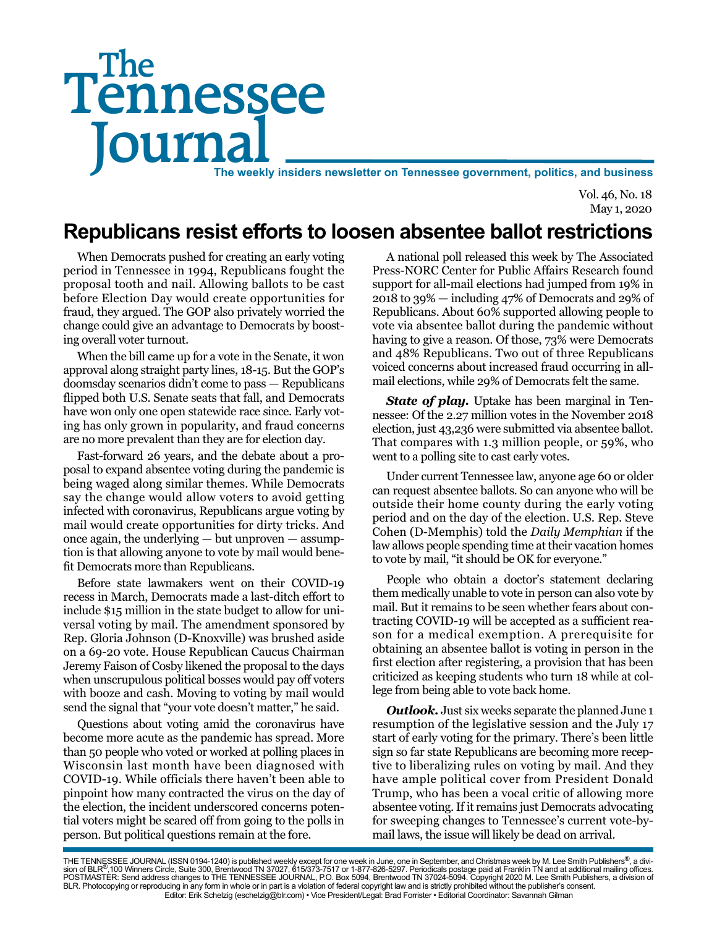# Tennessee **Journal** The weekly insiders newsletter on Tennessee government, politics, and business The

Vol. 46, No. 18 May 1, 2020

## **Republicans resist efforts to loosen absentee ballot restrictions**

When Democrats pushed for creating an early voting period in Tennessee in 1994, Republicans fought the proposal tooth and nail. Allowing ballots to be cast before Election Day would create opportunities for fraud, they argued. The GOP also privately worried the change could give an advantage to Democrats by boosting overall voter turnout.

When the bill came up for a vote in the Senate, it won approval along straight party lines, 18-15. But the GOP's doomsday scenarios didn't come to pass — Republicans flipped both U.S. Senate seats that fall, and Democrats have won only one open statewide race since. Early voting has only grown in popularity, and fraud concerns are no more prevalent than they are for election day.

Fast-forward 26 years, and the debate about a proposal to expand absentee voting during the pandemic is being waged along similar themes. While Democrats say the change would allow voters to avoid getting infected with coronavirus, Republicans argue voting by mail would create opportunities for dirty tricks. And once again, the underlying — but unproven — assumption is that allowing anyone to vote by mail would benefit Democrats more than Republicans.

Before state lawmakers went on their COVID-19 recess in March, Democrats made a last-ditch effort to include \$15 million in the state budget to allow for universal voting by mail. The amendment sponsored by Rep. Gloria Johnson (D-Knoxville) was brushed aside on a 69-20 vote. House Republican Caucus Chairman Jeremy Faison of Cosby likened the proposal to the days when unscrupulous political bosses would pay off voters with booze and cash. Moving to voting by mail would send the signal that "your vote doesn't matter," he said.

Questions about voting amid the coronavirus have become more acute as the pandemic has spread. More than 50 people who voted or worked at polling places in Wisconsin last month have been diagnosed with COVID-19. While officials there haven't been able to pinpoint how many contracted the virus on the day of the election, the incident underscored concerns potential voters might be scared off from going to the polls in person. But political questions remain at the fore.

A national poll released this week by The Associated Press-NORC Center for Public Affairs Research found support for all-mail elections had jumped from 19% in 2018 to 39% — including 47% of Democrats and 29% of Republicans. About 60% supported allowing people to vote via absentee ballot during the pandemic without having to give a reason. Of those, 73% were Democrats and 48% Republicans. Two out of three Republicans voiced concerns about increased fraud occurring in allmail elections, while 29% of Democrats felt the same.

**State of play.** Uptake has been marginal in Tennessee: Of the 2.27 million votes in the November 2018 election, just 43,236 were submitted via absentee ballot. That compares with 1.3 million people, or 59%, who went to a polling site to cast early votes.

Under current Tennessee law, anyone age 60 or older can request absentee ballots. So can anyone who will be outside their home county during the early voting period and on the day of the election. U.S. Rep. Steve Cohen (D-Memphis) told the *Daily Memphian* if the law allows people spending time at their vacation homes to vote by mail, "it should be OK for everyone."

People who obtain a doctor's statement declaring them medically unable to vote in person can also vote by mail. But it remains to be seen whether fears about contracting COVID-19 will be accepted as a sufficient reason for a medical exemption. A prerequisite for obtaining an absentee ballot is voting in person in the first election after registering, a provision that has been criticized as keeping students who turn 18 while at college from being able to vote back home.

*Outlook.* Just six weeks separate the planned June 1 resumption of the legislative session and the July 17 start of early voting for the primary. There's been little sign so far state Republicans are becoming more receptive to liberalizing rules on voting by mail. And they have ample political cover from President Donald Trump, who has been a vocal critic of allowing more absentee voting. If it remains just Democrats advocating for sweeping changes to Tennessee's current vote-bymail laws, the issue will likely be dead on arrival.

THE TENNESSEE JOURNAL (ISSN 0194-1240) is published weekly except for one week in June, one in September, and Christmas week by M. Lee Smith Publishers®, a divi-<br>sion of BLR®,100 Winners Circle, Suite 300, Brentwood TN 370 BLR. Photocopying or reproducing in any form in whole or in part is a violation of federal copyright law and is strictly prohibited without the publisher's consent. Editor: Erik Schelzig (eschelzig@blr.com) • Vice President/Legal: Brad Forrister • Editorial Coordinator: Savannah Gilman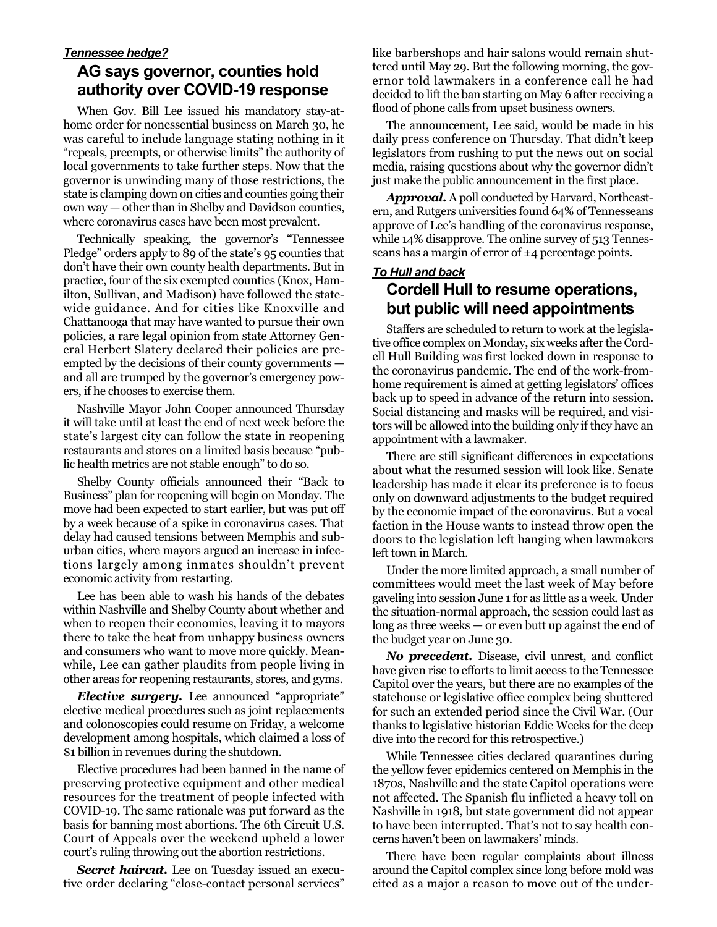#### *Tennessee hedge?*

### **AG says governor, counties hold authority over COVID-19 response**

When Gov. Bill Lee issued his mandatory stay-athome order for nonessential business on March 30, he was careful to include language stating nothing in it "repeals, preempts, or otherwise limits" the authority of local governments to take further steps. Now that the governor is unwinding many of those restrictions, the state is clamping down on cities and counties going their own way — other than in Shelby and Davidson counties, where coronavirus cases have been most prevalent.

Technically speaking, the governor's "Tennessee Pledge" orders apply to 89 of the state's 95 counties that don't have their own county health departments. But in practice, four of the six exempted counties (Knox, Hamilton, Sullivan, and Madison) have followed the statewide guidance. And for cities like Knoxville and Chattanooga that may have wanted to pursue their own policies, a rare legal opinion from state Attorney General Herbert Slatery declared their policies are preempted by the decisions of their county governments and all are trumped by the governor's emergency powers, if he chooses to exercise them.

Nashville Mayor John Cooper announced Thursday it will take until at least the end of next week before the state's largest city can follow the state in reopening restaurants and stores on a limited basis because "public health metrics are not stable enough" to do so.

Shelby County officials announced their "Back to Business" plan for reopening will begin on Monday. The move had been expected to start earlier, but was put off by a week because of a spike in coronavirus cases. That delay had caused tensions between Memphis and suburban cities, where mayors argued an increase in infections largely among inmates shouldn't prevent economic activity from restarting.

Lee has been able to wash his hands of the debates within Nashville and Shelby County about whether and when to reopen their economies, leaving it to mayors there to take the heat from unhappy business owners and consumers who want to move more quickly. Meanwhile, Lee can gather plaudits from people living in other areas for reopening restaurants, stores, and gyms.

*Elective surgery.* Lee announced "appropriate" elective medical procedures such as joint replacements and colonoscopies could resume on Friday, a welcome development among hospitals, which claimed a loss of \$1 billion in revenues during the shutdown.

Elective procedures had been banned in the name of preserving protective equipment and other medical resources for the treatment of people infected with COVID-19. The same rationale was put forward as the basis for banning most abortions. The 6th Circuit U.S. Court of Appeals over the weekend upheld a lower court's ruling throwing out the abortion restrictions.

**Secret haircut.** Lee on Tuesday issued an executive order declaring "close-contact personal services" like barbershops and hair salons would remain shuttered until May 29. But the following morning, the governor told lawmakers in a conference call he had decided to lift the ban starting on May 6 after receiving a flood of phone calls from upset business owners.

The announcement, Lee said, would be made in his daily press conference on Thursday. That didn't keep legislators from rushing to put the news out on social media, raising questions about why the governor didn't just make the public announcement in the first place.

*Approval.* A poll conducted by Harvard, Northeastern, and Rutgers universities found 64% of Tennesseans approve of Lee's handling of the coronavirus response, while 14% disapprove. The online survey of 513 Tennesseans has a margin of error of  $\pm 4$  percentage points.

#### *To Hull and back*

### **Cordell Hull to resume operations, but public will need appointments**

Staffers are scheduled to return to work at the legislative office complex on Monday, six weeks after the Cordell Hull Building was first locked down in response to the coronavirus pandemic. The end of the work-fromhome requirement is aimed at getting legislators' offices back up to speed in advance of the return into session. Social distancing and masks will be required, and visitors will be allowed into the building only if they have an appointment with a lawmaker.

There are still significant differences in expectations about what the resumed session will look like. Senate leadership has made it clear its preference is to focus only on downward adjustments to the budget required by the economic impact of the coronavirus. But a vocal faction in the House wants to instead throw open the doors to the legislation left hanging when lawmakers left town in March.

Under the more limited approach, a small number of committees would meet the last week of May before gaveling into session June 1 for as little as a week. Under the situation-normal approach, the session could last as long as three weeks — or even butt up against the end of the budget year on June 30.

*No precedent.* Disease, civil unrest, and conflict have given rise to efforts to limit access to the Tennessee Capitol over the years, but there are no examples of the statehouse or legislative office complex being shuttered for such an extended period since the Civil War. (Our thanks to legislative historian Eddie Weeks for the deep dive into the record for this retrospective.)

While Tennessee cities declared quarantines during the yellow fever epidemics centered on Memphis in the 1870s, Nashville and the state Capitol operations were not affected. The Spanish flu inflicted a heavy toll on Nashville in 1918, but state government did not appear to have been interrupted. That's not to say health concerns haven't been on lawmakers' minds.

There have been regular complaints about illness around the Capitol complex since long before mold was cited as a major a reason to move out of the under-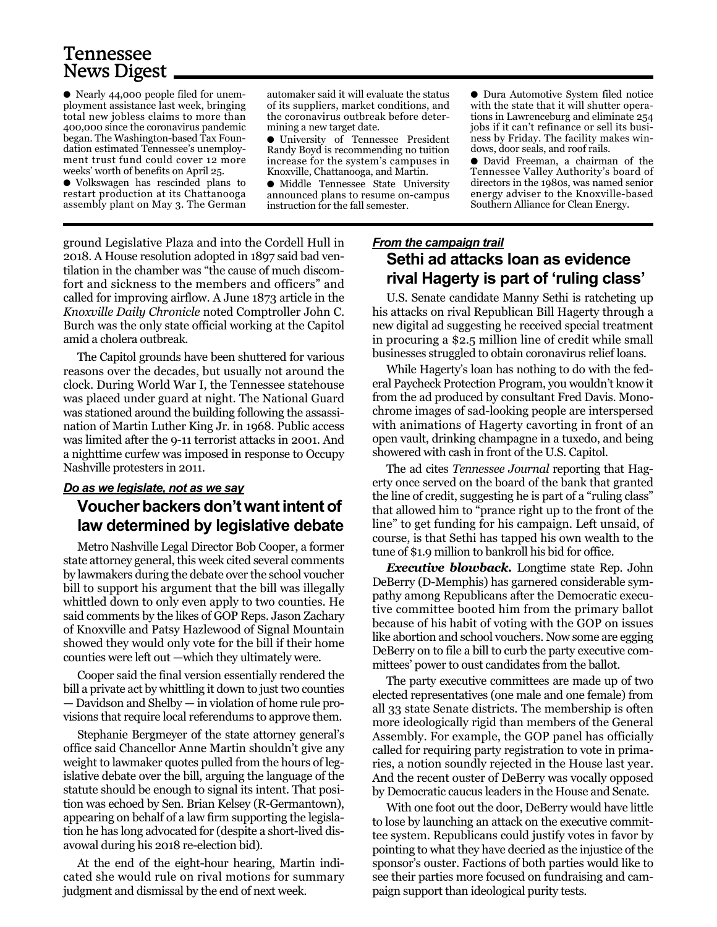## Tennessee News Digest

● Nearly 44,000 people filed for unemployment assistance last week, bringing total new jobless claims to more than 400,000 since the coronavirus pandemic began. The Washington-based Tax Foundation estimated Tennessee's unemployment trust fund could cover 12 more weeks' worth of benefits on April 25.

● Volkswagen has rescinded plans to restart production at its Chattanooga assembly plant on May 3. The German

automaker said it will evaluate the status of its suppliers, market conditions, and the coronavirus outbreak before determining a new target date.

● University of Tennessee President Randy Boyd is recommending no tuition increase for the system's campuses in Knoxville, Chattanooga, and Martin.

● Middle Tennessee State University announced plans to resume on-campus instruction for the fall semester.

ground Legislative Plaza and into the Cordell Hull in 2018. A House resolution adopted in 1897 said bad ventilation in the chamber was "the cause of much discomfort and sickness to the members and officers" and called for improving airflow. A June 1873 article in the *Knoxville Daily Chronicle* noted Comptroller John C. Burch was the only state official working at the Capitol amid a cholera outbreak.

The Capitol grounds have been shuttered for various reasons over the decades, but usually not around the clock. During World War I, the Tennessee statehouse was placed under guard at night. The National Guard was stationed around the building following the assassination of Martin Luther King Jr. in 1968. Public access was limited after the 9-11 terrorist attacks in 2001. And a nighttime curfew was imposed in response to Occupy Nashville protesters in 2011.

#### *Do as we legislate, not as we say*

#### **Voucher backers don't want intent of law determined by legislative debate**

Metro Nashville Legal Director Bob Cooper, a former state attorney general, this week cited several comments by lawmakers during the debate over the school voucher bill to support his argument that the bill was illegally whittled down to only even apply to two counties. He said comments by the likes of GOP Reps. Jason Zachary of Knoxville and Patsy Hazlewood of Signal Mountain showed they would only vote for the bill if their home counties were left out —which they ultimately were.

Cooper said the final version essentially rendered the bill a private act by whittling it down to just two counties — Davidson and Shelby — in violation of home rule provisions that require local referendums to approve them.

Stephanie Bergmeyer of the state attorney general's office said Chancellor Anne Martin shouldn't give any weight to lawmaker quotes pulled from the hours of legislative debate over the bill, arguing the language of the statute should be enough to signal its intent. That position was echoed by Sen. Brian Kelsey (R-Germantown), appearing on behalf of a law firm supporting the legislation he has long advocated for (despite a short-lived disavowal during his 2018 re-election bid).

At the end of the eight-hour hearing, Martin indicated she would rule on rival motions for summary judgment and dismissal by the end of next week.

#### *From the campaign trail* **Sethi ad attacks loan as evidence rival Hagerty is part of 'ruling class'**

● Dura Automotive System filed notice with the state that it will shutter operations in Lawrenceburg and eliminate 254 jobs if it can't refinance or sell its business by Friday. The facility makes win-

● David Freeman, a chairman of the Tennessee Valley Authority's board of directors in the 1980s, was named senior energy adviser to the Knoxville-based Southern Alliance for Clean Energy.

dows, door seals, and roof rails.

U.S. Senate candidate Manny Sethi is ratcheting up his attacks on rival Republican Bill Hagerty through a new digital ad suggesting he received special treatment in procuring a \$2.5 million line of credit while small businesses struggled to obtain coronavirus relief loans.

While Hagerty's loan has nothing to do with the federal Paycheck Protection Program, you wouldn't know it from the ad produced by consultant Fred Davis. Monochrome images of sad-looking people are interspersed with animations of Hagerty cavorting in front of an open vault, drinking champagne in a tuxedo, and being showered with cash in front of the U.S. Capitol.

The ad cites *Tennessee Journal* reporting that Hagerty once served on the board of the bank that granted the line of credit, suggesting he is part of a "ruling class" that allowed him to "prance right up to the front of the line" to get funding for his campaign. Left unsaid, of course, is that Sethi has tapped his own wealth to the tune of \$1.9 million to bankroll his bid for office.

*Executive blowback.* Longtime state Rep. John DeBerry (D-Memphis) has garnered considerable sympathy among Republicans after the Democratic executive committee booted him from the primary ballot because of his habit of voting with the GOP on issues like abortion and school vouchers. Now some are egging DeBerry on to file a bill to curb the party executive committees' power to oust candidates from the ballot.

The party executive committees are made up of two elected representatives (one male and one female) from all 33 state Senate districts. The membership is often more ideologically rigid than members of the General Assembly. For example, the GOP panel has officially called for requiring party registration to vote in primaries, a notion soundly rejected in the House last year. And the recent ouster of DeBerry was vocally opposed by Democratic caucus leaders in the House and Senate.

With one foot out the door, DeBerry would have little to lose by launching an attack on the executive committee system. Republicans could justify votes in favor by pointing to what they have decried as the injustice of the sponsor's ouster. Factions of both parties would like to see their parties more focused on fundraising and campaign support than ideological purity tests.